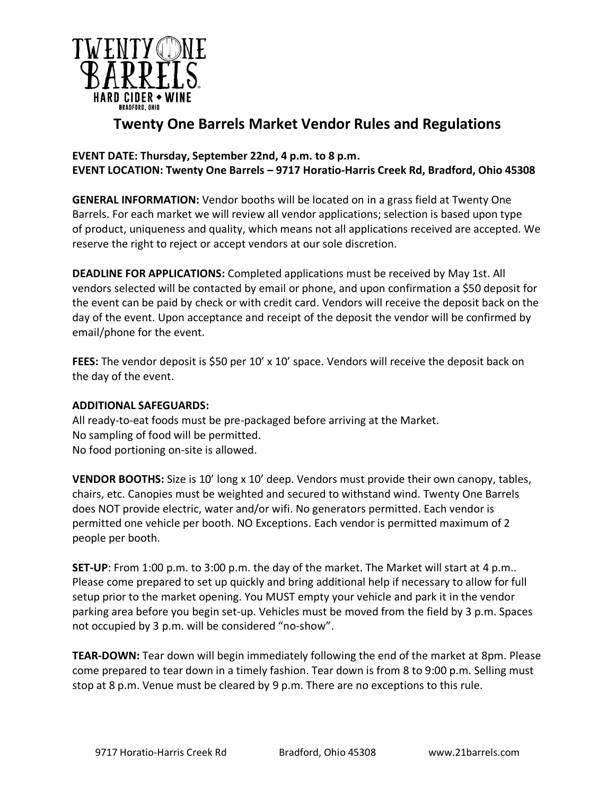

## **Twenty One Barrels Market Vendor Rules and Regulations**

## **EVENT DATE: Thursday, September 22nd, 4 p.m. to 8 p.m. EVENT LOCATION: Twenty One Barrels – 9717 Horatio-Harris Creek Rd, Bradford, Ohio 45308**

**GENERAL INFORMATION:** Vendor booths will be located on in a grass field at Twenty One Barrels. For each market we will review all vendor applications; selection is based upon type of product, uniqueness and quality, which means not all applications received are accepted. We reserve the right to reject or accept vendors at our sole discretion.

**DEADLINE FOR APPLICATIONS:** Completed applications must be received by May 1st. All vendors selected will be contacted by email or phone, and upon confirmation a \$50 deposit for the event can be paid by check or with credit card. Vendors will receive the deposit back on the day of the event. Upon acceptance and receipt of the deposit the vendor will be confirmed by email/phone for the event.

**FEES:** The vendor deposit is \$50 per 10' x 10' space. Vendors will receive the deposit back on the day of the event.

## **ADDITIONAL SAFEGUARDS:**

All ready-to-eat foods must be pre-packaged before arriving at the Market. No sampling of food will be permitted. No food portioning on-site is allowed.

**VENDOR BOOTHS:** Size is 10' long x 10' deep. Vendors must provide their own canopy, tables, chairs, etc. Canopies must be weighted and secured to withstand wind. Twenty One Barrels does NOT provide electric, water and/or wifi. No generators permitted. Each vendor is permitted one vehicle per booth. NO Exceptions. Each vendor is permitted maximum of 2 people per booth.

**SET-UP**: From 1:00 p.m. to 3:00 p.m. the day of the market. The Market will start at 4 p.m.. Please come prepared to set up quickly and bring additional help if necessary to allow for full setup prior to the market opening. You MUST empty your vehicle and park it in the vendor parking area before you begin set-up. Vehicles must be moved from the field by 3 p.m. Spaces not occupied by 3 p.m. will be considered "no-show".

**TEAR-DOWN:** Tear down will begin immediately following the end of the market at 8pm. Please come prepared to tear down in a timely fashion. Tear down is from 8 to 9:00 p.m. Selling must stop at 8 p.m. Venue must be cleared by 9 p.m. There are no exceptions to this rule.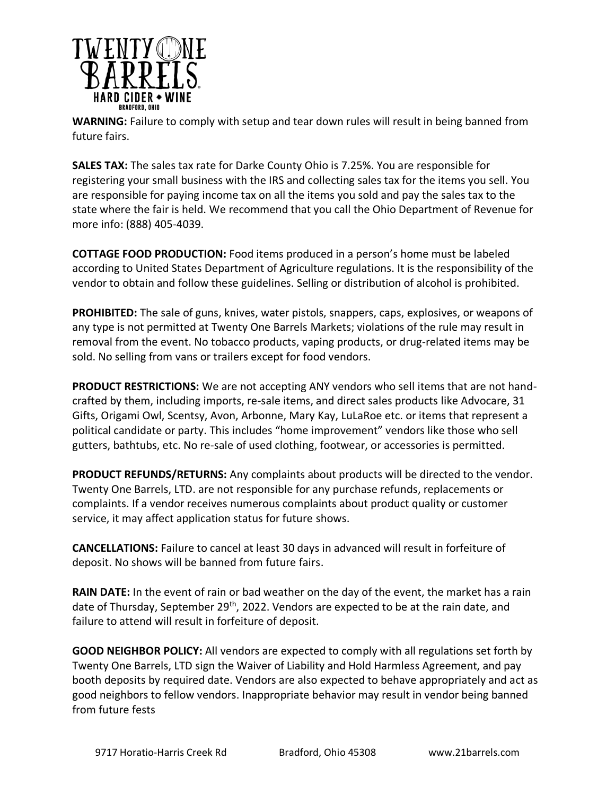

**WARNING:** Failure to comply with setup and tear down rules will result in being banned from future fairs.

**SALES TAX:** The sales tax rate for Darke County Ohio is 7.25%. You are responsible for registering your small business with the IRS and collecting sales tax for the items you sell. You are responsible for paying income tax on all the items you sold and pay the sales tax to the state where the fair is held. We recommend that you call the Ohio Department of Revenue for more info: (888) 405-4039.

**COTTAGE FOOD PRODUCTION:** Food items produced in a person's home must be labeled according to United States Department of Agriculture regulations. It is the responsibility of the vendor to obtain and follow these guidelines. Selling or distribution of alcohol is prohibited.

**PROHIBITED:** The sale of guns, knives, water pistols, snappers, caps, explosives, or weapons of any type is not permitted at Twenty One Barrels Markets; violations of the rule may result in removal from the event. No tobacco products, vaping products, or drug-related items may be sold. No selling from vans or trailers except for food vendors.

**PRODUCT RESTRICTIONS:** We are not accepting ANY vendors who sell items that are not handcrafted by them, including imports, re-sale items, and direct sales products like Advocare, 31 Gifts, Origami Owl, Scentsy, Avon, Arbonne, Mary Kay, LuLaRoe etc. or items that represent a political candidate or party. This includes "home improvement" vendors like those who sell gutters, bathtubs, etc. No re-sale of used clothing, footwear, or accessories is permitted.

**PRODUCT REFUNDS/RETURNS:** Any complaints about products will be directed to the vendor. Twenty One Barrels, LTD. are not responsible for any purchase refunds, replacements or complaints. If a vendor receives numerous complaints about product quality or customer service, it may affect application status for future shows.

**CANCELLATIONS:** Failure to cancel at least 30 days in advanced will result in forfeiture of deposit. No shows will be banned from future fairs.

**RAIN DATE:** In the event of rain or bad weather on the day of the event, the market has a rain date of Thursday, September 29<sup>th</sup>, 2022. Vendors are expected to be at the rain date, and failure to attend will result in forfeiture of deposit.

**GOOD NEIGHBOR POLICY:** All vendors are expected to comply with all regulations set forth by Twenty One Barrels, LTD sign the Waiver of Liability and Hold Harmless Agreement, and pay booth deposits by required date. Vendors are also expected to behave appropriately and act as good neighbors to fellow vendors. Inappropriate behavior may result in vendor being banned from future fests